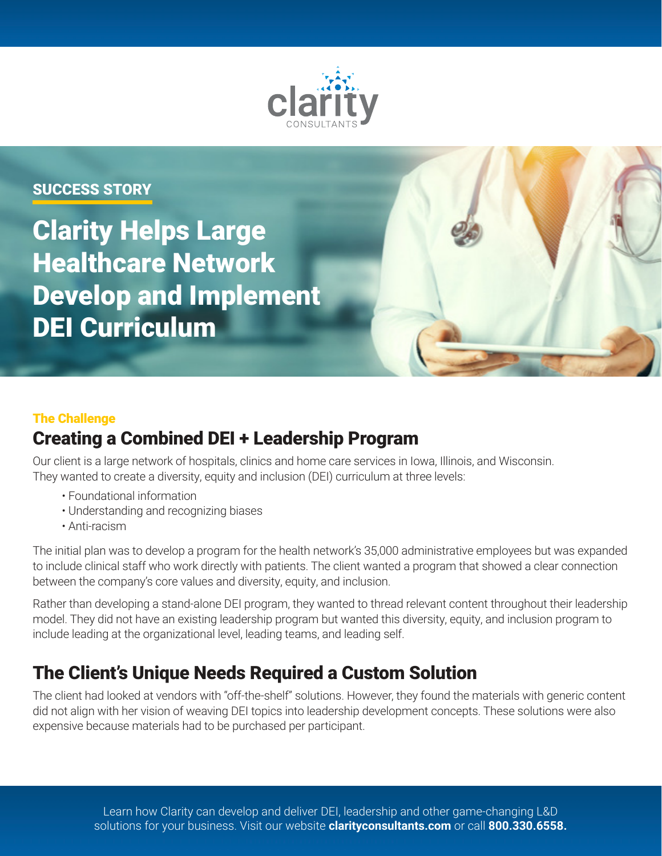

# Clarity Helps Large Healthcare Network Develop and Implement DEI Curriculum SUCCESS STORY

#### The Challenge

## Creating a Combined DEI + Leadership Program

Our client is a large network of hospitals, clinics and home care services in Iowa, Illinois, and Wisconsin. They wanted to create a diversity, equity and inclusion (DEI) curriculum at three levels:

- Foundational information
- Understanding and recognizing biases
- Anti-racism

The initial plan was to develop a program for the health network's 35,000 administrative employees but was expanded to include clinical staff who work directly with patients. The client wanted a program that showed a clear connection between the company's core values and diversity, equity, and inclusion.

Rather than developing a stand-alone DEI program, they wanted to thread relevant content throughout their leadership model. They did not have an existing leadership program but wanted this diversity, equity, and inclusion program to include leading at the organizational level, leading teams, and leading self.

# The Client's Unique Needs Required a Custom Solution

The client had looked at vendors with "off-the-shelf" solutions. However, they found the materials with generic content did not align with her vision of weaving DEI topics into leadership development concepts. These solutions were also expensive because materials had to be purchased per participant.